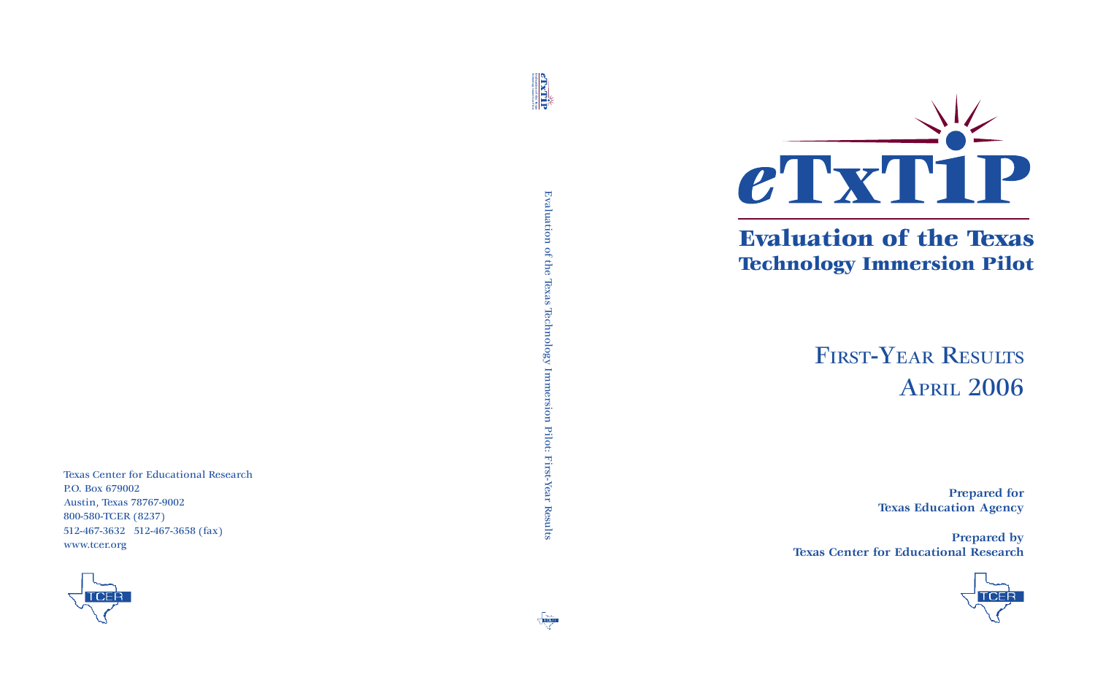

## Evaluation of the Texas Technology Immersion Pilot

# FIRST-YEAR RESULTS APRIL 2006

**Prepared for Texas Education Agency**

**Prepared by Texas Center for Educational Research**

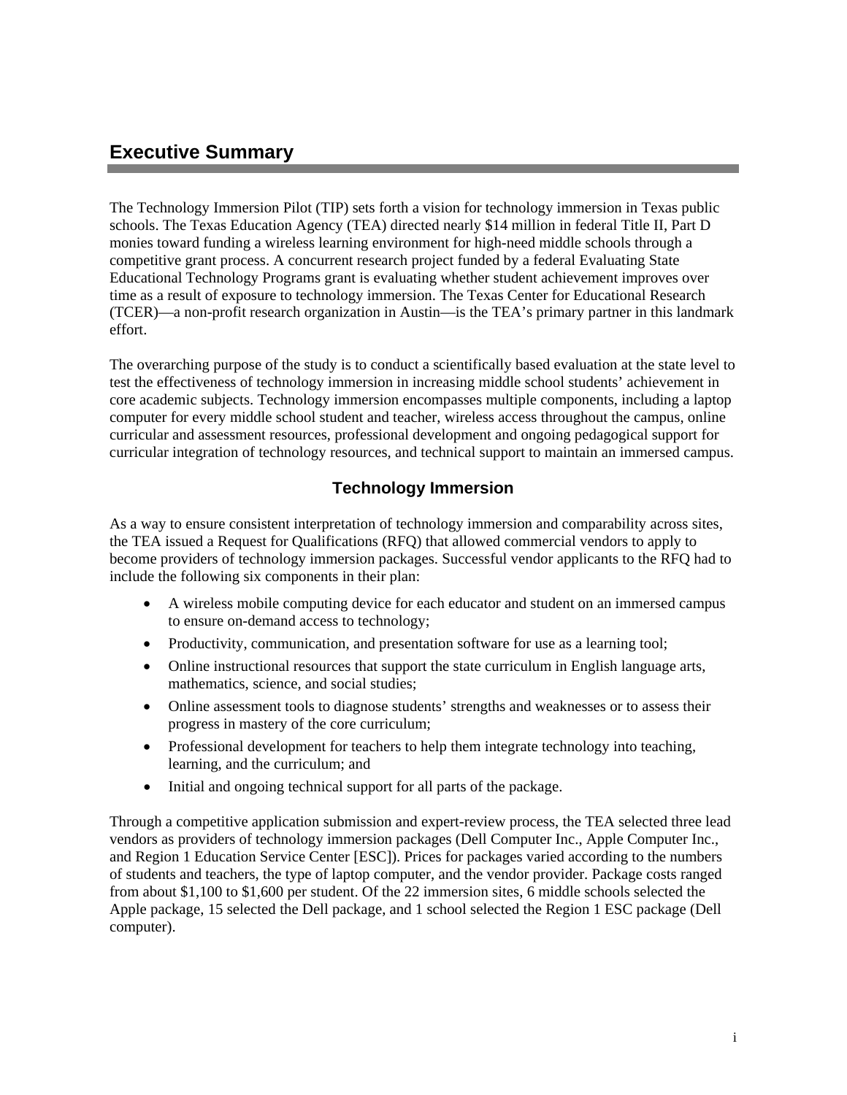### **Executive Summary**

The Technology Immersion Pilot (TIP) sets forth a vision for technology immersion in Texas public schools. The Texas Education Agency (TEA) directed nearly \$14 million in federal Title II, Part D monies toward funding a wireless learning environment for high-need middle schools through a competitive grant process. A concurrent research project funded by a federal Evaluating State Educational Technology Programs grant is evaluating whether student achievement improves over time as a result of exposure to technology immersion. The Texas Center for Educational Research (TCER)—a non-profit research organization in Austin—is the TEA's primary partner in this landmark effort.

The overarching purpose of the study is to conduct a scientifically based evaluation at the state level to test the effectiveness of technology immersion in increasing middle school students' achievement in core academic subjects. Technology immersion encompasses multiple components, including a laptop computer for every middle school student and teacher, wireless access throughout the campus, online curricular and assessment resources, professional development and ongoing pedagogical support for curricular integration of technology resources, and technical support to maintain an immersed campus.

#### **Technology Immersion**

As a way to ensure consistent interpretation of technology immersion and comparability across sites, the TEA issued a Request for Qualifications (RFQ) that allowed commercial vendors to apply to become providers of technology immersion packages. Successful vendor applicants to the RFQ had to include the following six components in their plan:

- A wireless mobile computing device for each educator and student on an immersed campus to ensure on-demand access to technology;
- Productivity, communication, and presentation software for use as a learning tool;
- Online instructional resources that support the state curriculum in English language arts, mathematics, science, and social studies;
- Online assessment tools to diagnose students' strengths and weaknesses or to assess their progress in mastery of the core curriculum;
- Professional development for teachers to help them integrate technology into teaching, learning, and the curriculum; and
- Initial and ongoing technical support for all parts of the package.

Through a competitive application submission and expert-review process, the TEA selected three lead vendors as providers of technology immersion packages (Dell Computer Inc., Apple Computer Inc., and Region 1 Education Service Center [ESC]). Prices for packages varied according to the numbers of students and teachers, the type of laptop computer, and the vendor provider. Package costs ranged from about \$1,100 to \$1,600 per student. Of the 22 immersion sites, 6 middle schools selected the Apple package, 15 selected the Dell package, and 1 school selected the Region 1 ESC package (Dell computer).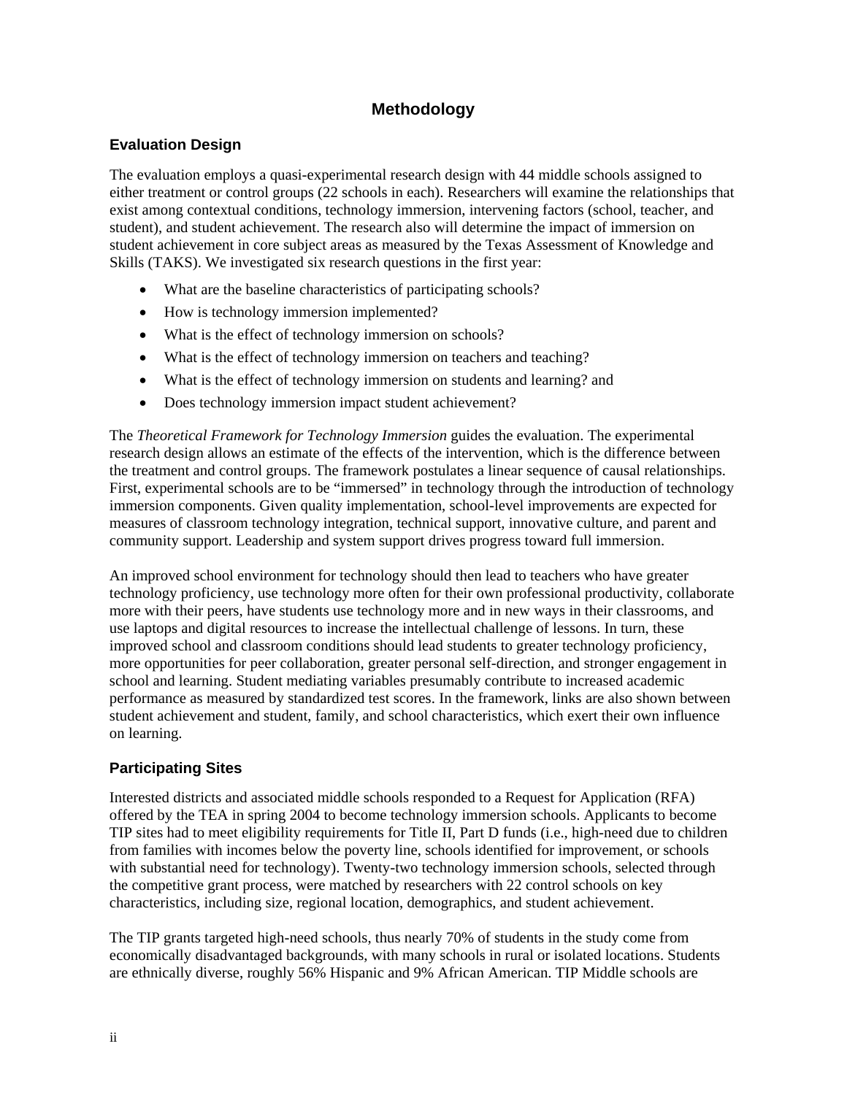#### **Methodology**

#### **Evaluation Design**

The evaluation employs a quasi-experimental research design with 44 middle schools assigned to either treatment or control groups (22 schools in each). Researchers will examine the relationships that exist among contextual conditions, technology immersion, intervening factors (school, teacher, and student), and student achievement. The research also will determine the impact of immersion on student achievement in core subject areas as measured by the Texas Assessment of Knowledge and Skills (TAKS). We investigated six research questions in the first year:

- What are the baseline characteristics of participating schools?
- How is technology immersion implemented?
- What is the effect of technology immersion on schools?
- What is the effect of technology immersion on teachers and teaching?
- What is the effect of technology immersion on students and learning? and
- Does technology immersion impact student achievement?

The *Theoretical Framework for Technology Immersion* guides the evaluation. The experimental research design allows an estimate of the effects of the intervention, which is the difference between the treatment and control groups. The framework postulates a linear sequence of causal relationships. First, experimental schools are to be "immersed" in technology through the introduction of technology immersion components. Given quality implementation, school-level improvements are expected for measures of classroom technology integration, technical support, innovative culture, and parent and community support. Leadership and system support drives progress toward full immersion.

An improved school environment for technology should then lead to teachers who have greater technology proficiency, use technology more often for their own professional productivity, collaborate more with their peers, have students use technology more and in new ways in their classrooms, and use laptops and digital resources to increase the intellectual challenge of lessons. In turn, these improved school and classroom conditions should lead students to greater technology proficiency, more opportunities for peer collaboration, greater personal self-direction, and stronger engagement in school and learning. Student mediating variables presumably contribute to increased academic performance as measured by standardized test scores. In the framework, links are also shown between student achievement and student, family, and school characteristics, which exert their own influence on learning.

#### **Participating Sites**

Interested districts and associated middle schools responded to a Request for Application (RFA) offered by the TEA in spring 2004 to become technology immersion schools. Applicants to become TIP sites had to meet eligibility requirements for Title II, Part D funds (i.e., high-need due to children from families with incomes below the poverty line, schools identified for improvement, or schools with substantial need for technology). Twenty-two technology immersion schools, selected through the competitive grant process, were matched by researchers with 22 control schools on key characteristics, including size, regional location, demographics, and student achievement.

The TIP grants targeted high-need schools, thus nearly 70% of students in the study come from economically disadvantaged backgrounds, with many schools in rural or isolated locations. Students are ethnically diverse, roughly 56% Hispanic and 9% African American. TIP Middle schools are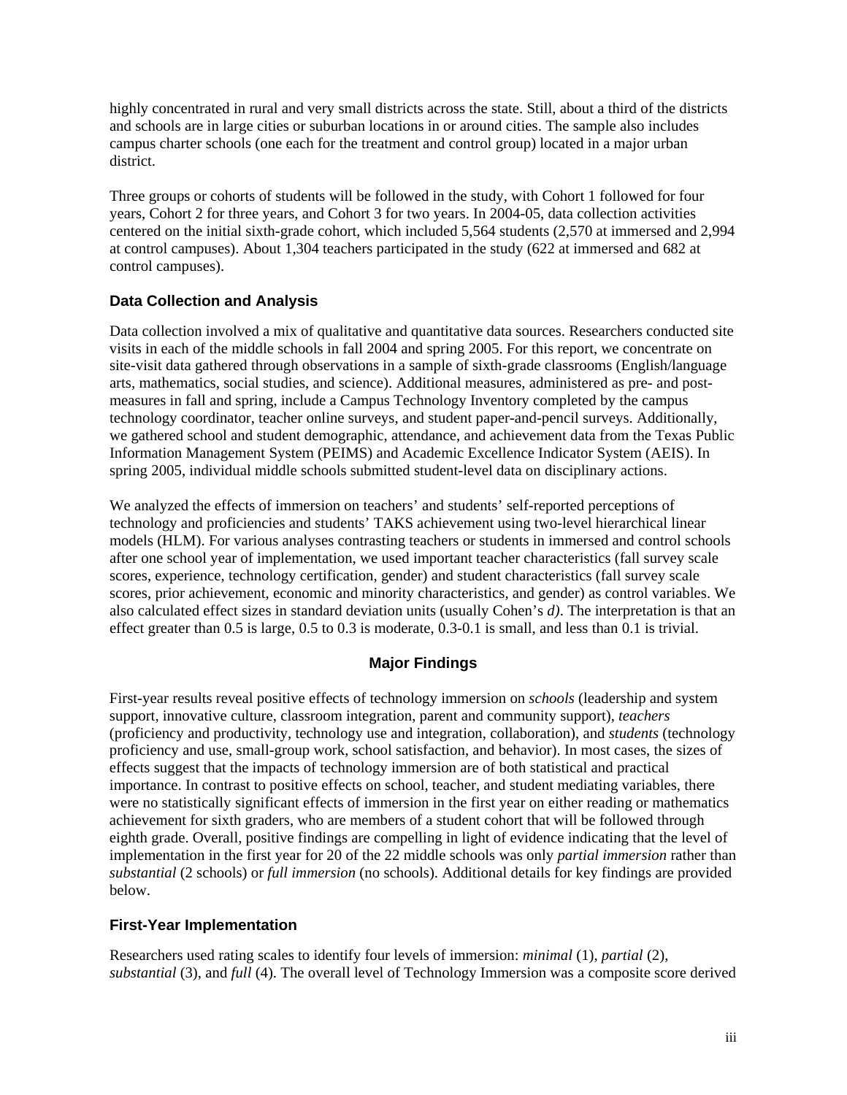highly concentrated in rural and very small districts across the state. Still, about a third of the districts and schools are in large cities or suburban locations in or around cities. The sample also includes campus charter schools (one each for the treatment and control group) located in a major urban district.

Three groups or cohorts of students will be followed in the study, with Cohort 1 followed for four years, Cohort 2 for three years, and Cohort 3 for two years. In 2004-05, data collection activities centered on the initial sixth-grade cohort, which included 5,564 students (2,570 at immersed and 2,994 at control campuses). About 1,304 teachers participated in the study (622 at immersed and 682 at control campuses).

#### **Data Collection and Analysis**

Data collection involved a mix of qualitative and quantitative data sources. Researchers conducted site visits in each of the middle schools in fall 2004 and spring 2005. For this report, we concentrate on site-visit data gathered through observations in a sample of sixth-grade classrooms (English/language arts, mathematics, social studies, and science). Additional measures, administered as pre- and postmeasures in fall and spring, include a Campus Technology Inventory completed by the campus technology coordinator, teacher online surveys, and student paper-and-pencil surveys. Additionally, we gathered school and student demographic, attendance, and achievement data from the Texas Public Information Management System (PEIMS) and Academic Excellence Indicator System (AEIS). In spring 2005, individual middle schools submitted student-level data on disciplinary actions.

We analyzed the effects of immersion on teachers' and students' self-reported perceptions of technology and proficiencies and students' TAKS achievement using two-level hierarchical linear models (HLM). For various analyses contrasting teachers or students in immersed and control schools after one school year of implementation, we used important teacher characteristics (fall survey scale scores, experience, technology certification, gender) and student characteristics (fall survey scale scores, prior achievement, economic and minority characteristics, and gender) as control variables. We also calculated effect sizes in standard deviation units (usually Cohen's *d)*. The interpretation is that an effect greater than 0.5 is large, 0.5 to 0.3 is moderate, 0.3-0.1 is small, and less than 0.1 is trivial.

#### **Major Findings**

First-year results reveal positive effects of technology immersion on *schools* (leadership and system support, innovative culture, classroom integration, parent and community support), *teachers*  (proficiency and productivity, technology use and integration, collaboration), and *students* (technology proficiency and use, small-group work, school satisfaction, and behavior). In most cases, the sizes of effects suggest that the impacts of technology immersion are of both statistical and practical importance. In contrast to positive effects on school, teacher, and student mediating variables, there were no statistically significant effects of immersion in the first year on either reading or mathematics achievement for sixth graders, who are members of a student cohort that will be followed through eighth grade. Overall, positive findings are compelling in light of evidence indicating that the level of implementation in the first year for 20 of the 22 middle schools was only *partial immersion* rather than *substantial* (2 schools) or *full immersion* (no schools). Additional details for key findings are provided below.

#### **First-Year Implementation**

Researchers used rating scales to identify four levels of immersion: *minimal* (1), *partial* (2), *substantial* (3), and *full* (4). The overall level of Technology Immersion was a composite score derived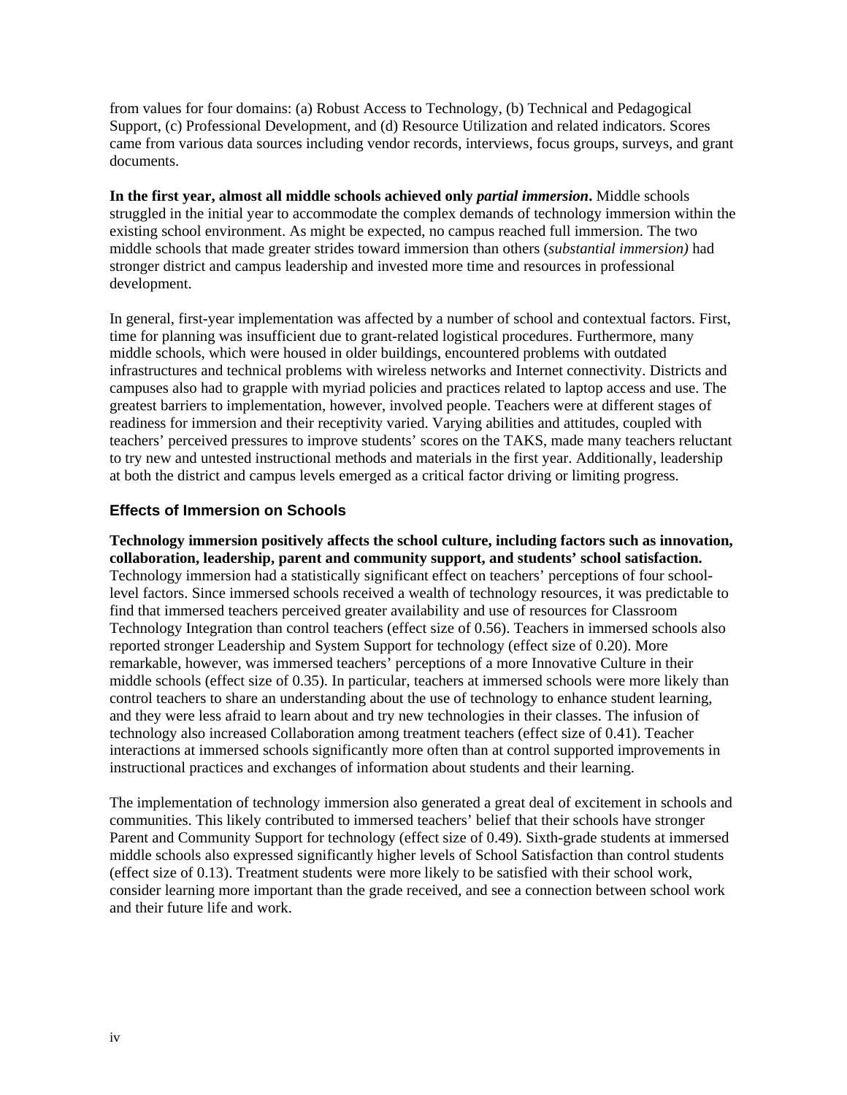from values for four domains: (a) Robust Access to Technology, (b) Technical and Pedagogical Support, (c) Professional Development, and (d) Resource Utilization and related indicators. Scores came from various data sources including vendor records, interviews, focus groups, surveys, and grant documents.

**In the first year, almost all middle schools achieved only** *partial immersion***.** Middle schools struggled in the initial year to accommodate the complex demands of technology immersion within the existing school environment. As might be expected, no campus reached full immersion. The two middle schools that made greater strides toward immersion than others (*substantial immersion)* had stronger district and campus leadership and invested more time and resources in professional development.

In general, first-year implementation was affected by a number of school and contextual factors. First, time for planning was insufficient due to grant-related logistical procedures. Furthermore, many middle schools, which were housed in older buildings, encountered problems with outdated infrastructures and technical problems with wireless networks and Internet connectivity. Districts and campuses also had to grapple with myriad policies and practices related to laptop access and use. The greatest barriers to implementation, however, involved people. Teachers were at different stages of readiness for immersion and their receptivity varied. Varying abilities and attitudes, coupled with teachers' perceived pressures to improve students' scores on the TAKS, made many teachers reluctant to try new and untested instructional methods and materials in the first year. Additionally, leadership at both the district and campus levels emerged as a critical factor driving or limiting progress.

#### **Effects of Immersion on Schools**

**Technology immersion positively affects the school culture, including factors such as innovation, collaboration, leadership, parent and community support, and students' school satisfaction.**  Technology immersion had a statistically significant effect on teachers' perceptions of four schoollevel factors. Since immersed schools received a wealth of technology resources, it was predictable to find that immersed teachers perceived greater availability and use of resources for Classroom Technology Integration than control teachers (effect size of 0.56). Teachers in immersed schools also reported stronger Leadership and System Support for technology (effect size of 0.20). More remarkable, however, was immersed teachers' perceptions of a more Innovative Culture in their middle schools (effect size of 0.35). In particular, teachers at immersed schools were more likely than control teachers to share an understanding about the use of technology to enhance student learning, and they were less afraid to learn about and try new technologies in their classes. The infusion of technology also increased Collaboration among treatment teachers (effect size of 0.41). Teacher interactions at immersed schools significantly more often than at control supported improvements in instructional practices and exchanges of information about students and their learning.

The implementation of technology immersion also generated a great deal of excitement in schools and communities. This likely contributed to immersed teachers' belief that their schools have stronger Parent and Community Support for technology (effect size of 0.49). Sixth-grade students at immersed middle schools also expressed significantly higher levels of School Satisfaction than control students (effect size of 0.13). Treatment students were more likely to be satisfied with their school work, consider learning more important than the grade received, and see a connection between school work and their future life and work.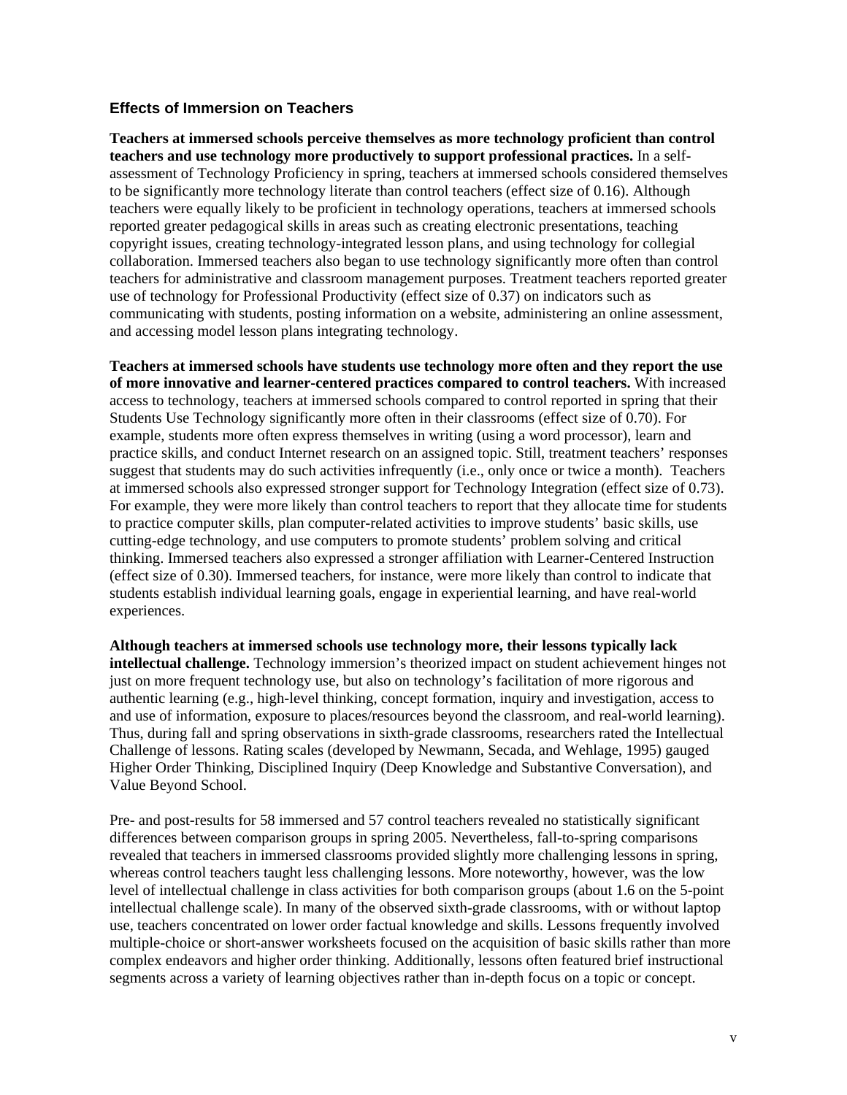#### **Effects of Immersion on Teachers**

**Teachers at immersed schools perceive themselves as more technology proficient than control teachers and use technology more productively to support professional practices.** In a selfassessment of Technology Proficiency in spring, teachers at immersed schools considered themselves to be significantly more technology literate than control teachers (effect size of 0.16). Although teachers were equally likely to be proficient in technology operations, teachers at immersed schools reported greater pedagogical skills in areas such as creating electronic presentations, teaching copyright issues, creating technology-integrated lesson plans, and using technology for collegial collaboration. Immersed teachers also began to use technology significantly more often than control teachers for administrative and classroom management purposes. Treatment teachers reported greater use of technology for Professional Productivity (effect size of 0.37) on indicators such as communicating with students, posting information on a website, administering an online assessment, and accessing model lesson plans integrating technology.

**Teachers at immersed schools have students use technology more often and they report the use of more innovative and learner-centered practices compared to control teachers.** With increased access to technology, teachers at immersed schools compared to control reported in spring that their Students Use Technology significantly more often in their classrooms (effect size of 0.70). For example, students more often express themselves in writing (using a word processor), learn and practice skills, and conduct Internet research on an assigned topic. Still, treatment teachers' responses suggest that students may do such activities infrequently (i.e., only once or twice a month). Teachers at immersed schools also expressed stronger support for Technology Integration (effect size of 0.73). For example, they were more likely than control teachers to report that they allocate time for students to practice computer skills, plan computer-related activities to improve students' basic skills, use cutting-edge technology, and use computers to promote students' problem solving and critical thinking. Immersed teachers also expressed a stronger affiliation with Learner-Centered Instruction (effect size of 0.30). Immersed teachers, for instance, were more likely than control to indicate that students establish individual learning goals, engage in experiential learning, and have real-world experiences.

**Although teachers at immersed schools use technology more, their lessons typically lack intellectual challenge.** Technology immersion's theorized impact on student achievement hinges not just on more frequent technology use, but also on technology's facilitation of more rigorous and authentic learning (e.g., high-level thinking, concept formation, inquiry and investigation, access to and use of information, exposure to places/resources beyond the classroom, and real-world learning). Thus, during fall and spring observations in sixth-grade classrooms, researchers rated the Intellectual Challenge of lessons. Rating scales (developed by Newmann, Secada, and Wehlage, 1995) gauged Higher Order Thinking, Disciplined Inquiry (Deep Knowledge and Substantive Conversation), and Value Beyond School.

Pre- and post-results for 58 immersed and 57 control teachers revealed no statistically significant differences between comparison groups in spring 2005. Nevertheless, fall-to-spring comparisons revealed that teachers in immersed classrooms provided slightly more challenging lessons in spring, whereas control teachers taught less challenging lessons. More noteworthy, however, was the low level of intellectual challenge in class activities for both comparison groups (about 1.6 on the 5-point intellectual challenge scale). In many of the observed sixth-grade classrooms, with or without laptop use, teachers concentrated on lower order factual knowledge and skills. Lessons frequently involved multiple-choice or short-answer worksheets focused on the acquisition of basic skills rather than more complex endeavors and higher order thinking. Additionally, lessons often featured brief instructional segments across a variety of learning objectives rather than in-depth focus on a topic or concept.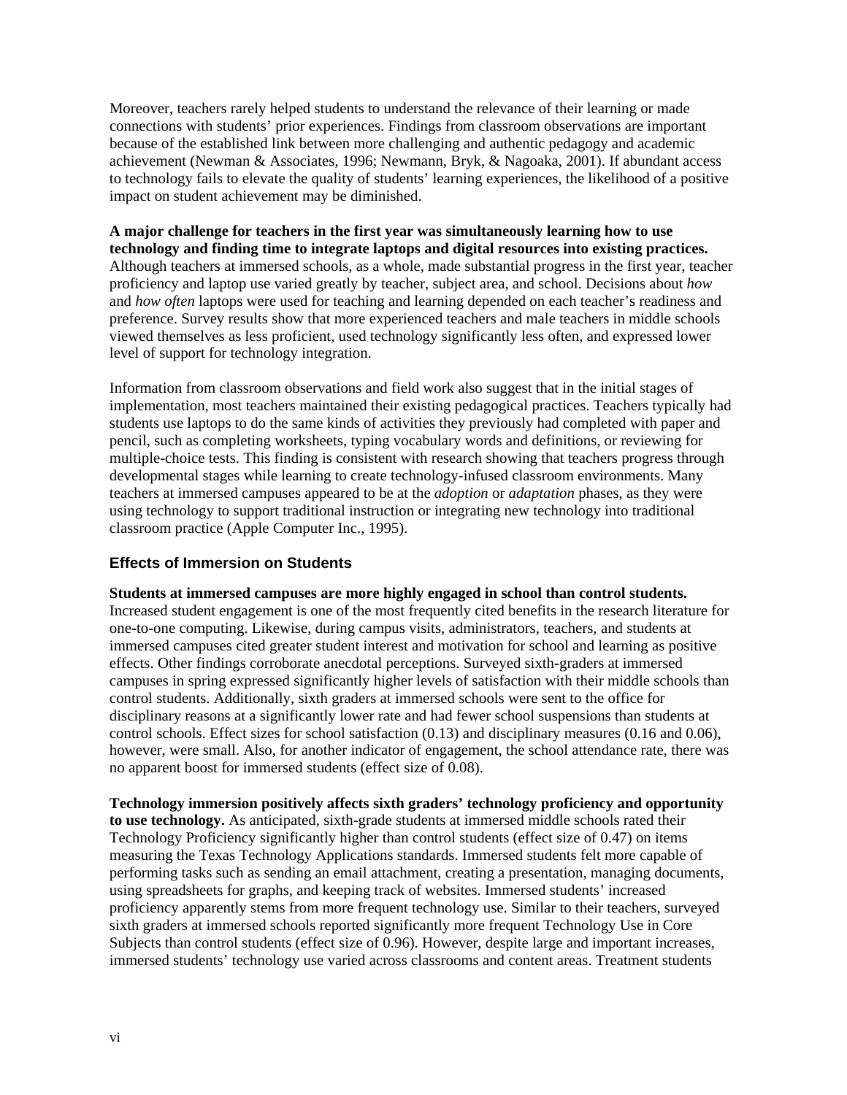Moreover, teachers rarely helped students to understand the relevance of their learning or made connections with students' prior experiences. Findings from classroom observations are important because of the established link between more challenging and authentic pedagogy and academic achievement (Newman & Associates, 1996; Newmann, Bryk, & Nagoaka, 2001). If abundant access to technology fails to elevate the quality of students' learning experiences, the likelihood of a positive impact on student achievement may be diminished.

**A major challenge for teachers in the first year was simultaneously learning how to use technology and finding time to integrate laptops and digital resources into existing practices.**  Although teachers at immersed schools, as a whole, made substantial progress in the first year, teacher proficiency and laptop use varied greatly by teacher, subject area, and school. Decisions about *how*  and *how often* laptops were used for teaching and learning depended on each teacher's readiness and preference. Survey results show that more experienced teachers and male teachers in middle schools viewed themselves as less proficient, used technology significantly less often, and expressed lower level of support for technology integration.

Information from classroom observations and field work also suggest that in the initial stages of implementation, most teachers maintained their existing pedagogical practices. Teachers typically had students use laptops to do the same kinds of activities they previously had completed with paper and pencil, such as completing worksheets, typing vocabulary words and definitions, or reviewing for multiple-choice tests. This finding is consistent with research showing that teachers progress through developmental stages while learning to create technology-infused classroom environments. Many teachers at immersed campuses appeared to be at the *adoption* or *adaptation* phases, as they were using technology to support traditional instruction or integrating new technology into traditional classroom practice (Apple Computer Inc., 1995).

#### **Effects of Immersion on Students**

**Students at immersed campuses are more highly engaged in school than control students.**  Increased student engagement is one of the most frequently cited benefits in the research literature for one-to-one computing. Likewise, during campus visits, administrators, teachers, and students at immersed campuses cited greater student interest and motivation for school and learning as positive effects. Other findings corroborate anecdotal perceptions. Surveyed sixth-graders at immersed campuses in spring expressed significantly higher levels of satisfaction with their middle schools than control students. Additionally, sixth graders at immersed schools were sent to the office for disciplinary reasons at a significantly lower rate and had fewer school suspensions than students at control schools. Effect sizes for school satisfaction (0.13) and disciplinary measures (0.16 and 0.06), however, were small. Also, for another indicator of engagement, the school attendance rate, there was no apparent boost for immersed students (effect size of 0.08).

**Technology immersion positively affects sixth graders' technology proficiency and opportunity to use technology.** As anticipated, sixth-grade students at immersed middle schools rated their Technology Proficiency significantly higher than control students (effect size of 0.47) on items measuring the Texas Technology Applications standards. Immersed students felt more capable of performing tasks such as sending an email attachment, creating a presentation, managing documents, using spreadsheets for graphs, and keeping track of websites. Immersed students' increased proficiency apparently stems from more frequent technology use. Similar to their teachers, surveyed sixth graders at immersed schools reported significantly more frequent Technology Use in Core Subjects than control students (effect size of 0.96). However, despite large and important increases, immersed students' technology use varied across classrooms and content areas. Treatment students